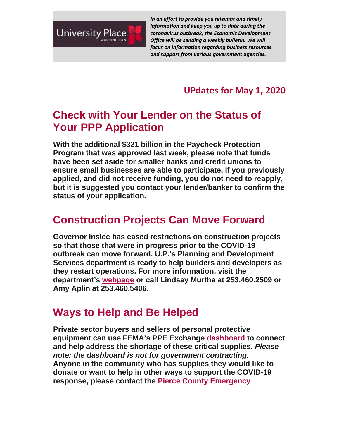

*In an effort to provide you relevant and timely information and keep you up to date during the coronavirus outbreak, the Economic Development Office will be sending a weekly bulletin. We will focus on information regarding business resources and support from various government agencies.*

**UPdates for May 1, 2020**

## **Check with Your Lender on the Status of Your PPP Application**

**With the additional \$321 billion in the Paycheck Protection Program that was approved last week, please note that funds have been set aside for smaller banks and credit unions to ensure small businesses are able to participate. If you previously applied, and did not receive funding, you do not need to reapply, but it is suggested you contact your lender/banker to confirm the status of your application.**

# **Construction Projects Can Move Forward**

**Governor Inslee has eased restrictions on construction projects so that those that were in progress prior to the COVID-19 outbreak can move forward. U.P.'s Planning and Development Services department is ready to help builders and developers as they restart operations. For more information, visit the department's [webpage](https://nam12.safelinks.protection.outlook.com/?url=http%3A%2F%2Fr20.rs6.net%2Ftn.jsp%3Ff%3D0019kl2ZsD9xVHh_8S7aUBB7CuQoc5D5OKcSslI1sk39dzjLdEWHmH3YrAqmCLOTxzeJbjzvZ7Tso1-Zo5h5EHZz4F-lrX5XXwj0uFKlOqBEcES1332y3ZDnDks0D5efNZcvZQeYvNDC_eFxSgKa6UA5KFTU_XQjVvrOZBQKzD91NORtGsZ3b43XQ%3D%3D%26c%3Dwl1fZmCSlJJEY2hAMkal1xuAhF6JHCrXnqCxeD4PW-nWqs0QqFbLPg%3D%3D%26ch%3DOB9HKUPtpElmeHANI4XzxP9IQ-7RiYl82jZ1k0yIwAG9xUAm51MqsA%3D%3D&data=01%7C01%7Cbmetcalf%40cityofup.com%7C55d201a9d2ca402cecb908d7ee1e2bab%7C964f2256ad7d4cd99f27e9cb8052aa15%7C0&sdata=BHN%2F%2Fh2a8H5279iptqM8qmS1hW%2F0BjDc701V6nM7dTw%3D&reserved=0) or call Lindsay Murtha at 253.460.2509 or Amy Aplin at 253.460.5406.**

#### **Ways to Help and Be Helped**

**Private sector buyers and sellers of personal protective equipment can use FEMA's PPE Exchange [dashboard](https://nam12.safelinks.protection.outlook.com/?url=http%3A%2F%2Fr20.rs6.net%2Ftn.jsp%3Ff%3D0019kl2ZsD9xVHh_8S7aUBB7CuQoc5D5OKcSslI1sk39dzjLdEWHmH3YrAqmCLOTxzefBmzbhRup1tSWE5v5SWBxF726dph6bKyK9YkiyvuLCfUCiDDehuZjsDUs2-oLOa5Xoo6_oN4ArIZ6kqaDMqTMT4u7iVhz4ljL6gbde8DvRTVf1rxV4yPX4r-L_iYaNLyGfB9LpLesMwncLhDekVamonQZ9DJGKIcED7jlBYJuDaNMZ4j8oJke24bLgJiZuoyRpkMd-D0KtxT_z8KDNRsL597X7Jth30qiMNECriCCA7-yxWVJH5ZWyYLxdPoDvECaRcYxUqmCw0VRnltaUOY1X9jcZLqC_7e6qUcxlQestqeWLFbpPBb-0NFSKUqMFbFYTo9yHaIChZ_Fr_j3WVUeGu7fXEgZe0FA86kJ-zeB7XZA1zZkXpEEWN-cibXTKWHDbb34XPKIjFVAveOClh-vU5E1CJWt1q8GcFlZcGiudXwUxb2B-EbszKFFqbXy7A2k2RrZ6dzFPcVHgf9spD7gj0V3A2ZQ-aSnioDGjbqTJc%3D%26c%3Dwl1fZmCSlJJEY2hAMkal1xuAhF6JHCrXnqCxeD4PW-nWqs0QqFbLPg%3D%3D%26ch%3DOB9HKUPtpElmeHANI4XzxP9IQ-7RiYl82jZ1k0yIwAG9xUAm51MqsA%3D%3D&data=01%7C01%7Cbmetcalf%40cityofup.com%7C55d201a9d2ca402cecb908d7ee1e2bab%7C964f2256ad7d4cd99f27e9cb8052aa15%7C0&sdata=aOqsKd9k8Yg2%2BCYWS97%2BzhNpikQqW6wWlG1hNccbOdQ%3D&reserved=0) to connect and help address the shortage of these critical supplies.** *Please note: the dashboard is not for government contracting***. Anyone in the community who has supplies they would like to donate or want to help in other ways to support the COVID-19 response, please contact the [Pierce County Emergency](mailto:PCEOC@piercecountywa.gov)**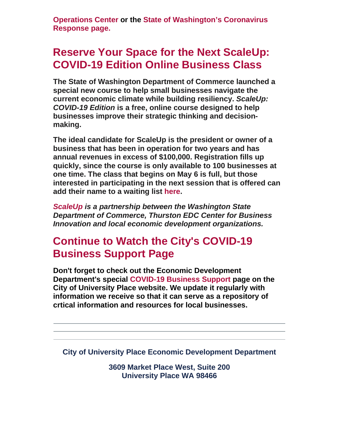**[Operations Center](mailto:PCEOC@piercecountywa.gov) or the [State of Washington's Coronavirus](https://nam12.safelinks.protection.outlook.com/?url=http%3A%2F%2Fr20.rs6.net%2Ftn.jsp%3Ff%3D0019kl2ZsD9xVHh_8S7aUBB7CuQoc5D5OKcSslI1sk39dzjLdEWHmH3YrAqmCLOTxzedh4msvUe-npKoSE-hJW5GYxUBWMKx41NMdwDe9CAKKUr468aMKH-kpusTC1vhHdxegrwFxJs3RZ-40ur7g1zyBKelg6E2ny9PDWcS6jv2wLGcfwYj-vY00s7wzFkbq4sP4QgRAy_4b8%3D%26c%3Dwl1fZmCSlJJEY2hAMkal1xuAhF6JHCrXnqCxeD4PW-nWqs0QqFbLPg%3D%3D%26ch%3DOB9HKUPtpElmeHANI4XzxP9IQ-7RiYl82jZ1k0yIwAG9xUAm51MqsA%3D%3D&data=01%7C01%7Cbmetcalf%40cityofup.com%7C55d201a9d2ca402cecb908d7ee1e2bab%7C964f2256ad7d4cd99f27e9cb8052aa15%7C0&sdata=r1%2FuxTNN5KAaJu2Sl59pdESaOoaVxMmuTUltImgqRME%3D&reserved=0)  [Response page.](https://nam12.safelinks.protection.outlook.com/?url=http%3A%2F%2Fr20.rs6.net%2Ftn.jsp%3Ff%3D0019kl2ZsD9xVHh_8S7aUBB7CuQoc5D5OKcSslI1sk39dzjLdEWHmH3YrAqmCLOTxzedh4msvUe-npKoSE-hJW5GYxUBWMKx41NMdwDe9CAKKUr468aMKH-kpusTC1vhHdxegrwFxJs3RZ-40ur7g1zyBKelg6E2ny9PDWcS6jv2wLGcfwYj-vY00s7wzFkbq4sP4QgRAy_4b8%3D%26c%3Dwl1fZmCSlJJEY2hAMkal1xuAhF6JHCrXnqCxeD4PW-nWqs0QqFbLPg%3D%3D%26ch%3DOB9HKUPtpElmeHANI4XzxP9IQ-7RiYl82jZ1k0yIwAG9xUAm51MqsA%3D%3D&data=01%7C01%7Cbmetcalf%40cityofup.com%7C55d201a9d2ca402cecb908d7ee1e2bab%7C964f2256ad7d4cd99f27e9cb8052aa15%7C0&sdata=r1%2FuxTNN5KAaJu2Sl59pdESaOoaVxMmuTUltImgqRME%3D&reserved=0)**

## **Reserve Your Space for the Next ScaleUp: COVID-19 Edition Online Business Class**

**The State of Washington Department of Commerce launched a special new course to help small businesses navigate the current economic climate while building resiliency.** *ScaleUp: COVID-19 Edition* **is a free, online course designed to help businesses improve their strategic thinking and decisionmaking.** 

**The ideal candidate for ScaleUp is the president or owner of a business that has been in operation for two years and has annual revenues in excess of \$100,000. Registration fills up quickly, since the course is only available to 100 businesses at one time. The class that begins on May 6 is full, but those interested in participating in the next session that is offered can add their name to a waiting list [here.](https://nam12.safelinks.protection.outlook.com/?url=http%3A%2F%2Fr20.rs6.net%2Ftn.jsp%3Ff%3D0019kl2ZsD9xVHh_8S7aUBB7CuQoc5D5OKcSslI1sk39dzjLdEWHmH3YrAqmCLOTxzeD3ILDTsx1oh0b6N1qj5fDGVvvdPj4CGdCTaBd7ULTJlk-9FalpKBdLu3-FBhO6nmWX2TZGo1n_tEQKKFgb7eJ3D_ZZ39EFujUFLD_F5udR142OlLw11UrYtya-qfBgiz%26c%3Dwl1fZmCSlJJEY2hAMkal1xuAhF6JHCrXnqCxeD4PW-nWqs0QqFbLPg%3D%3D%26ch%3DOB9HKUPtpElmeHANI4XzxP9IQ-7RiYl82jZ1k0yIwAG9xUAm51MqsA%3D%3D&data=01%7C01%7Cbmetcalf%40cityofup.com%7C55d201a9d2ca402cecb908d7ee1e2bab%7C964f2256ad7d4cd99f27e9cb8052aa15%7C0&sdata=Db3BHZlhuca6n0LtZ19QfwLocGmx3aMtDYYg%2B1OHqEA%3D&reserved=0)**

*[ScaleUp i](https://nam12.safelinks.protection.outlook.com/?url=http%3A%2F%2Fr20.rs6.net%2Ftn.jsp%3Ff%3D0019kl2ZsD9xVHh_8S7aUBB7CuQoc5D5OKcSslI1sk39dzjLdEWHmH3YrAqmCLOTxzeMkXbx9a8i0AgoWNWba2TePUl6Cq0Yqe1wLJNbnuGNHtyVwiBvR3No071puSXgdC18OcOkAsEzPIgixUKHdhnav3TmepmhNzQXORQfV8N0lJNeNHJxK9ORdw_U4fzZaBx%26c%3Dwl1fZmCSlJJEY2hAMkal1xuAhF6JHCrXnqCxeD4PW-nWqs0QqFbLPg%3D%3D%26ch%3DOB9HKUPtpElmeHANI4XzxP9IQ-7RiYl82jZ1k0yIwAG9xUAm51MqsA%3D%3D&data=01%7C01%7Cbmetcalf%40cityofup.com%7C55d201a9d2ca402cecb908d7ee1e2bab%7C964f2256ad7d4cd99f27e9cb8052aa15%7C0&sdata=TOm3ek3QshH5p%2BF1wufwwuhDK2mduTD%2BmVU%2BZFOa8Iw%3D&reserved=0)s a partnership between the Washington State Department of Commerce, Thurston EDC Center for Business Innovation and local economic development organizations.*

### **Continue to Watch the City's COVID-19 Business Support Page**

**Don't forget to check out the Economic Development Department's special [COVID-19 Business Support](https://nam12.safelinks.protection.outlook.com/?url=http%3A%2F%2Fr20.rs6.net%2Ftn.jsp%3Ff%3D0019kl2ZsD9xVHh_8S7aUBB7CuQoc5D5OKcSslI1sk39dzjLdEWHmH3YtLfSga0lXd3KYApOZNh0xK-rNR_Lx5prFTIPlnH81x563NzFnYiOtAb0JEOM4YjhJdWFc1cQbq-pMA_Bs0paNtAGSro8Fr7SSW-Bo6JXFWS9atXLHzmV3iT7LU-Sxwj6w%3D%3D%26c%3Dwl1fZmCSlJJEY2hAMkal1xuAhF6JHCrXnqCxeD4PW-nWqs0QqFbLPg%3D%3D%26ch%3DOB9HKUPtpElmeHANI4XzxP9IQ-7RiYl82jZ1k0yIwAG9xUAm51MqsA%3D%3D&data=01%7C01%7Cbmetcalf%40cityofup.com%7C55d201a9d2ca402cecb908d7ee1e2bab%7C964f2256ad7d4cd99f27e9cb8052aa15%7C0&sdata=6r%2FlRQCLvAP4xy1MRc0sa8lH8FTypjoa7QdJmXwEqnc%3D&reserved=0) page on the City of University Place website. We update it regularly with information we receive so that it can serve as a repository of crtical information and resources for local businesses.**

**City of University Place Economic Development Department**

**3609 Market Place West, Suite 200 University Place WA 98466**